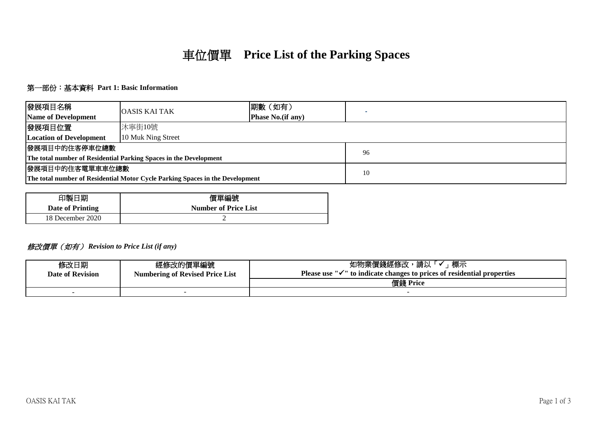# 車位價單 **Price List of the Parking Spaces**

## 第一部份:基本資料 **Part 1: Basic Information**

| 發展項目名稱                                                                        | <b>OASIS KAI TAK</b> | 期數 (如有)           |    |  |
|-------------------------------------------------------------------------------|----------------------|-------------------|----|--|
| <b>Name of Development</b>                                                    |                      | Phase No.(if any) |    |  |
| 發展項目位置                                                                        | 沐寧街10號               |                   |    |  |
| <b>Location of Development</b>                                                | 10 Muk Ning Street   |                   |    |  |
| 發展項目中的住客停車位總數                                                                 |                      |                   | 96 |  |
| The total number of Residential Parking Spaces in the Development             |                      |                   |    |  |
| 發展項目中的住客電單車車位總數                                                               |                      | 10                |    |  |
| The total number of Residential Motor Cycle Parking Spaces in the Development |                      |                   |    |  |

| 印製日期                    | 價單編號                        |  |
|-------------------------|-----------------------------|--|
| <b>Date of Printing</b> | <b>Number of Price List</b> |  |
| 18 December 2020        |                             |  |

### 修改價單(如有) *Revision to Price List (if any)*

| 修改日期<br><b>Date of Revision</b> | 經修改的價單編號<br><b>Numbering of Revised Price List</b> | 標示<br>如物業價錢經修改<br>請以<br><b>Please use</b><br>$\mathbb{R}^n$ $\mathbb{R}^n$ to indicate changes to prices of residential properties |
|---------------------------------|----------------------------------------------------|------------------------------------------------------------------------------------------------------------------------------------|
|                                 |                                                    | 價錢 Price                                                                                                                           |
|                                 |                                                    |                                                                                                                                    |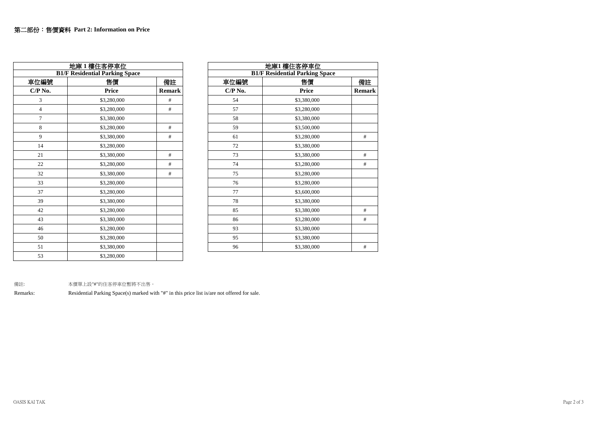|                | 地庫1樓住客停車位                             |               | 地庫1樓住客停車位 |                                 |  |
|----------------|---------------------------------------|---------------|-----------|---------------------------------|--|
|                | <b>B1/F Residential Parking Space</b> |               |           | <b>B1/F</b> Residential Parking |  |
| 車位編號           | 售價                                    | 備註            | 車位編號      | 售價                              |  |
| $C/P$ No.      | Price                                 | <b>Remark</b> | $CP$ No.  | Price                           |  |
| 3              | \$3,280,000                           | #             | 54        | \$3,380,000                     |  |
| $\overline{4}$ | \$3,280,000                           | $\#$          | 57        | \$3,280,000                     |  |
| $\overline{7}$ | \$3,380,000                           |               | 58        | \$3,380,000                     |  |
| 8              | \$3,280,000                           | #             | 59        | \$3,500,000                     |  |
| 9              | \$3,380,000                           | #             | 61        | \$3,280,000                     |  |
| 14             | \$3,280,000                           |               | 72        | \$3,380,000                     |  |
| 21             | \$3,380,000                           | #             | 73        | \$3,380,000                     |  |
| 22             | \$3,280,000                           | #             | 74        | \$3,280,000                     |  |
| 32             | \$3,380,000                           | #             | 75        | \$3,280,000                     |  |
| 33             | \$3,280,000                           |               | 76        | \$3,280,000                     |  |
| 37             | \$3,280,000                           |               | 77        | \$3,600,000                     |  |
| 39             | \$3,380,000                           |               | 78        | \$3,380,000                     |  |
| 42             | \$3,280,000                           |               | 85        | \$3,380,000                     |  |
| 43             | \$3,380,000                           |               | 86        | \$3,280,000                     |  |
| 46             | \$3,280,000                           |               | 93        | \$3,380,000                     |  |
| 50             | \$3,280,000                           |               | 95        | \$3,380,000                     |  |
| 51             | \$3,380,000                           |               | 96        | \$3,380,000                     |  |
| 53             | \$3,280,000                           |               |           |                                 |  |

|                | 地庫1樓住客停車位                             |               |          | 地庫1 樓住客停車位                            |               |
|----------------|---------------------------------------|---------------|----------|---------------------------------------|---------------|
|                | <b>B1/F Residential Parking Space</b> |               |          | <b>B1/F Residential Parking Space</b> |               |
| 車位編號           | 售價                                    | 備註            | 車位編號     | 售價                                    | 備註            |
| $C/P$ No.      | Price                                 | <b>Remark</b> | $CP$ No. | <b>Price</b>                          | <b>Remark</b> |
| 3              | \$3,280,000                           | #             | 54       | \$3,380,000                           |               |
| $\overline{4}$ | \$3,280,000                           | $\#$          | 57       | \$3,280,000                           |               |
| $\tau$         | \$3,380,000                           |               | 58       | \$3,380,000                           |               |
| 8              | \$3,280,000                           | #             | 59       | \$3,500,000                           |               |
| 9              | \$3,380,000                           | $\#$          | 61       | \$3,280,000                           | $\#$          |
| 14             | \$3,280,000                           |               | 72       | \$3,380,000                           |               |
| 21             | \$3,380,000                           | $\#$          | 73       | \$3,380,000                           | #             |
| 22             | \$3,280,000                           | $\#$          | 74       | \$3,280,000                           | $\#$          |
| 32             | \$3,380,000                           | #             | 75       | \$3,280,000                           |               |
| 33             | \$3,280,000                           |               | 76       | \$3,280,000                           |               |
| 37             | \$3,280,000                           |               | 77       | \$3,600,000                           |               |
| 39             | \$3,380,000                           |               | 78       | \$3,380,000                           |               |
| 42             | \$3,280,000                           |               | 85       | \$3,380,000                           | #             |
| 43             | \$3,380,000                           |               | 86       | \$3,280,000                           | $\#$          |
| 46             | \$3,280,000                           |               | 93       | \$3,380,000                           |               |
| 50             | \$3,280,000                           |               | 95       | \$3,380,000                           |               |
| 51             | \$3,380,000                           |               | 96       | \$3,380,000                           | #             |
|                |                                       |               |          |                                       |               |

備註: 本價單上設"#"的住客停車位暫將不出售。

Remarks: Residential Parking Space(s) marked with "#" in this price list is/are not offered for sale.